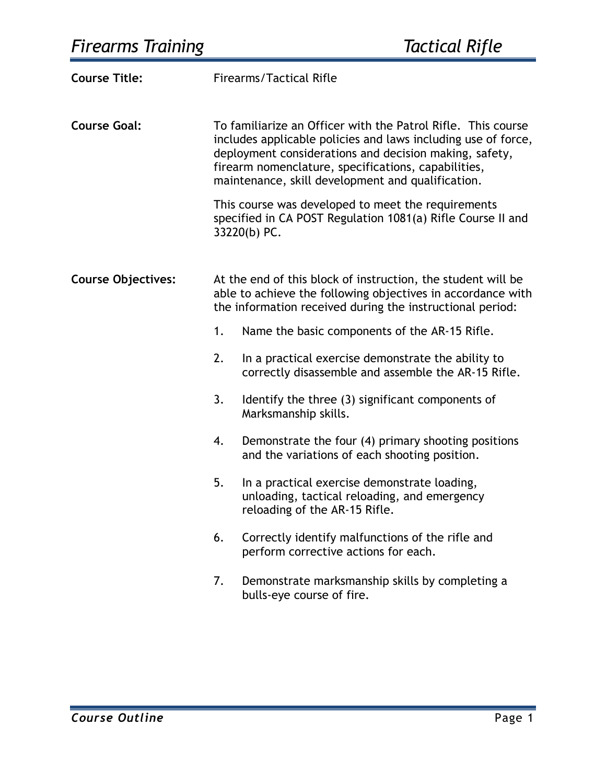| <b>Course Title:</b>      |                                                                                                                                                                                                                                                                                                     | <b>Firearms/Tactical Rifle</b>                                                                                                    |
|---------------------------|-----------------------------------------------------------------------------------------------------------------------------------------------------------------------------------------------------------------------------------------------------------------------------------------------------|-----------------------------------------------------------------------------------------------------------------------------------|
| <b>Course Goal:</b>       | To familiarize an Officer with the Patrol Rifle. This course<br>includes applicable policies and laws including use of force,<br>deployment considerations and decision making, safety,<br>firearm nomenclature, specifications, capabilities,<br>maintenance, skill development and qualification. |                                                                                                                                   |
|                           |                                                                                                                                                                                                                                                                                                     | This course was developed to meet the requirements<br>specified in CA POST Regulation 1081(a) Rifle Course II and<br>33220(b) PC. |
| <b>Course Objectives:</b> | At the end of this block of instruction, the student will be<br>able to achieve the following objectives in accordance with<br>the information received during the instructional period:                                                                                                            |                                                                                                                                   |
|                           | 1.                                                                                                                                                                                                                                                                                                  | Name the basic components of the AR-15 Rifle.                                                                                     |
|                           | 2.                                                                                                                                                                                                                                                                                                  | In a practical exercise demonstrate the ability to<br>correctly disassemble and assemble the AR-15 Rifle.                         |
|                           | 3.                                                                                                                                                                                                                                                                                                  | Identify the three (3) significant components of<br>Marksmanship skills.                                                          |
|                           | 4.                                                                                                                                                                                                                                                                                                  | Demonstrate the four (4) primary shooting positions<br>and the variations of each shooting position.                              |
|                           | 5.                                                                                                                                                                                                                                                                                                  | In a practical exercise demonstrate loading,<br>unloading, tactical reloading, and emergency<br>reloading of the AR-15 Rifle.     |
|                           | 6.                                                                                                                                                                                                                                                                                                  | Correctly identify malfunctions of the rifle and<br>perform corrective actions for each.                                          |
|                           | 7.                                                                                                                                                                                                                                                                                                  | Demonstrate marksmanship skills by completing a<br>bulls-eye course of fire.                                                      |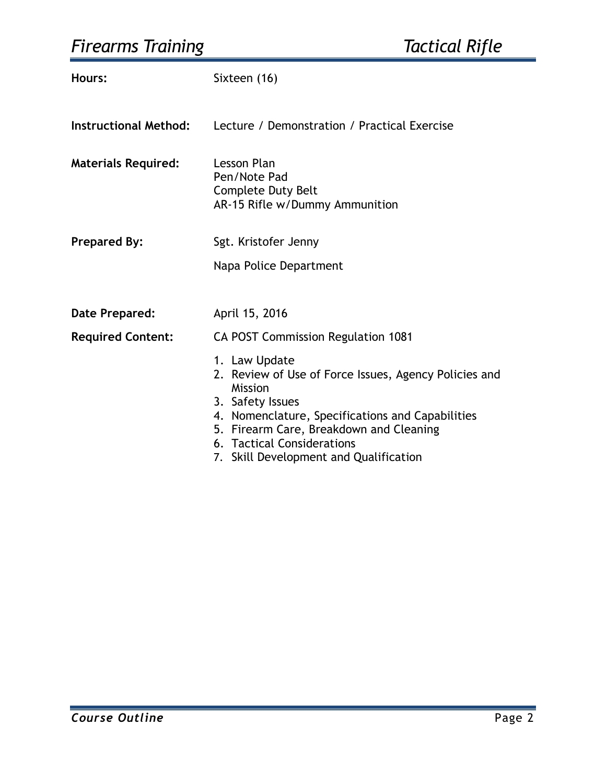# *Firearms Training Tactical Rifle*

| Hours:                       | Sixteen (16)                                                                                                                                                                                                                                                                 |  |
|------------------------------|------------------------------------------------------------------------------------------------------------------------------------------------------------------------------------------------------------------------------------------------------------------------------|--|
| <b>Instructional Method:</b> | Lecture / Demonstration / Practical Exercise                                                                                                                                                                                                                                 |  |
| <b>Materials Required:</b>   | Lesson Plan<br>Pen/Note Pad<br>Complete Duty Belt<br>AR-15 Rifle w/Dummy Ammunition                                                                                                                                                                                          |  |
| <b>Prepared By:</b>          | Sgt. Kristofer Jenny                                                                                                                                                                                                                                                         |  |
|                              | Napa Police Department                                                                                                                                                                                                                                                       |  |
| Date Prepared:               | April 15, 2016                                                                                                                                                                                                                                                               |  |
| <b>Required Content:</b>     | <b>CA POST Commission Regulation 1081</b>                                                                                                                                                                                                                                    |  |
|                              | 1. Law Update<br>2. Review of Use of Force Issues, Agency Policies and<br>Mission<br>3. Safety Issues<br>4. Nomenclature, Specifications and Capabilities<br>5. Firearm Care, Breakdown and Cleaning<br>6. Tactical Considerations<br>7. Skill Development and Qualification |  |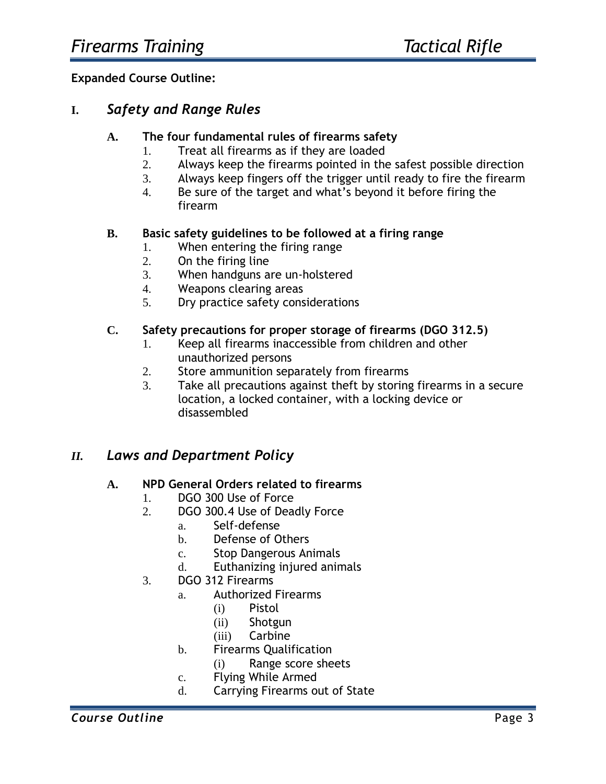**Expanded Course Outline:**

# **I.** *Safety and Range Rules*

### **A. The four fundamental rules of firearms safety**

- 1. Treat all firearms as if they are loaded
- 2. Always keep the firearms pointed in the safest possible direction
- 3. Always keep fingers off the trigger until ready to fire the firearm
- 4. Be sure of the target and what's beyond it before firing the firearm

### **B. Basic safety guidelines to be followed at a firing range**

- 1. When entering the firing range
- 2. On the firing line
- 3. When handguns are un-holstered
- 4. Weapons clearing areas
- 5. Dry practice safety considerations

### **C. Safety precautions for proper storage of firearms (DGO 312.5)**

- 1. Keep all firearms inaccessible from children and other unauthorized persons
- 2. Store ammunition separately from firearms
- 3. Take all precautions against theft by storing firearms in a secure location, a locked container, with a locking device or disassembled

# *II. Laws and Department Policy*

### **A. NPD General Orders related to firearms**

- 1. DGO 300 Use of Force
- 2. DGO 300.4 Use of Deadly Force
	- a. Self-defense
	- b. Defense of Others
	- c. Stop Dangerous Animals
	- d. Euthanizing injured animals
- 3. DGO 312 Firearms
	- a. Authorized Firearms
		- (i) Pistol
		- (ii) Shotgun
		- (iii) Carbine
		- b. Firearms Qualification
			- (i) Range score sheets
		- c. Flying While Armed
		- d. Carrying Firearms out of State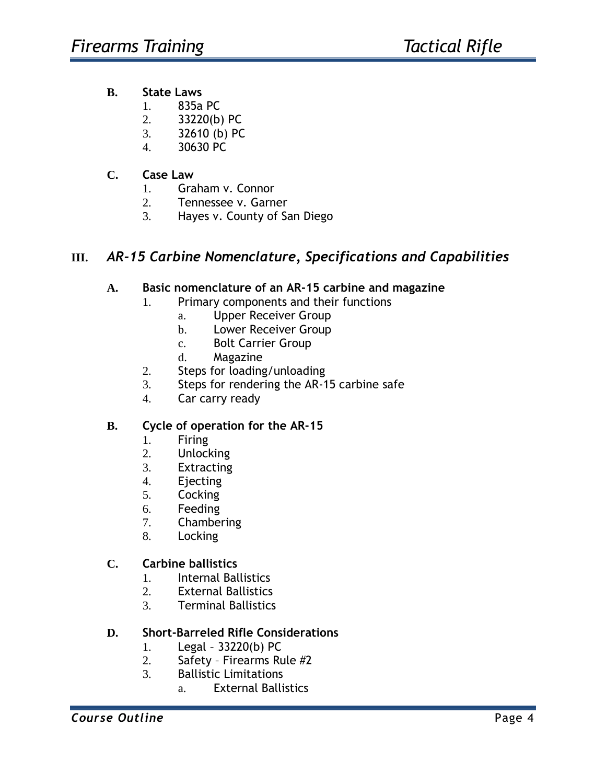### **B. State Laws**

- 1. 835a PC
- 2. 33220(b) PC
- 3. 32610 (b) PC
- 4. 30630 PC

### **C. Case Law**

- 1. Graham v. Connor
- 2. Tennessee v. Garner
- 3. Hayes v. County of San Diego

# **III.** *AR-15 Carbine Nomenclature, Specifications and Capabilities*

### **A. Basic nomenclature of an AR-15 carbine and magazine**

- 1. Primary components and their functions
	- a. Upper Receiver Group
	- b. Lower Receiver Group
	- c. Bolt Carrier Group
	- d. Magazine
- 2. Steps for loading/unloading
- 3. Steps for rendering the AR-15 carbine safe
- 4. Car carry ready

### **B. Cycle of operation for the AR-15**

- 1. Firing
- 2. Unlocking
- 3. Extracting
- 4. Ejecting
- 5. Cocking
- 6. Feeding
- 7. Chambering
- 8. Locking

### **C. Carbine ballistics**

- 1. Internal Ballistics
- 2. External Ballistics
- 3. Terminal Ballistics

### **D. Short-Barreled Rifle Considerations**

- 1. Legal 33220(b) PC
- 2. Safety Firearms Rule #2
- 3. Ballistic Limitations
	- a. External Ballistics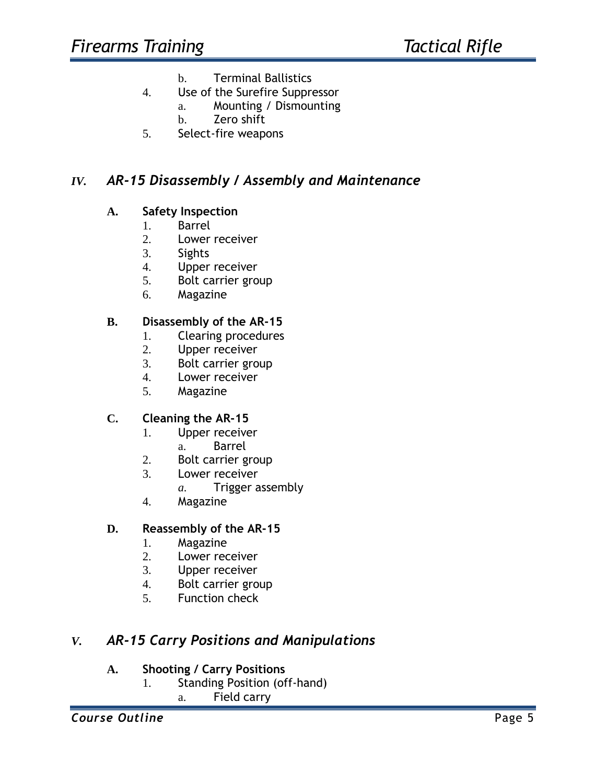- b. Terminal Ballistics
- 4. Use of the Surefire Suppressor
	- a. Mounting / Dismounting
		- b. Zero shift
- 5. Select-fire weapons

# *IV. AR-15 Disassembly / Assembly and Maintenance*

### **A. Safety Inspection**

- 1. Barrel
- 2. Lower receiver
- 3. Sights
- 4. Upper receiver
- 5. Bolt carrier group
- 6. Magazine

### **B. Disassembly of the AR-15**

- 1. Clearing procedures
- 2. Upper receiver
- 3. Bolt carrier group
- 4. Lower receiver
- 5. Magazine

### **C. Cleaning the AR-15**

- 1. Upper receiver
	- a. Barrel
- 2. Bolt carrier group
- 3. Lower receiver
	- *a.* Trigger assembly
- 4. Magazine

### **D. Reassembly of the AR-15**

- 1. Magazine
- 2. Lower receiver
- 3. Upper receiver
- 4. Bolt carrier group
- 5. Function check

# *V. AR-15 Carry Positions and Manipulations*

### **A. Shooting / Carry Positions**

- 1. Standing Position (off-hand)
	- a. Field carry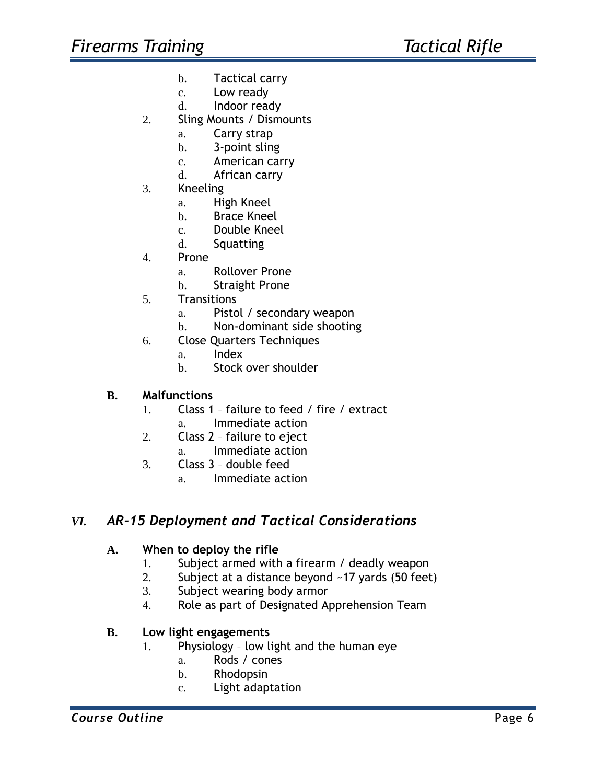- b. Tactical carry
- c. Low ready
- d. Indoor ready
- 2. Sling Mounts / Dismounts
	- a. Carry strap
	- b. 3-point sling
	- c. American carry
	- d. African carry
- 3. Kneeling
	- a. High Kneel
	- b. Brace Kneel
	- c. Double Kneel
	- d. Squatting
- 4. Prone
	- a. Rollover Prone
	- b. Straight Prone
- 5. Transitions
	- a. Pistol / secondary weapon
	- b. Non-dominant side shooting
- 6. Close Quarters Techniques
	- a. Index
	- b. Stock over shoulder

### **B. Malfunctions**

- 1. Class 1 failure to feed / fire / extract a. Immediate action
- 2. Class 2 failure to eject
	- a. Immediate action
- 3. Class 3 double feed
	- a. Immediate action

# *VI. AR-15 Deployment and Tactical Considerations*

### **A. When to deploy the rifle**

- 1. Subject armed with a firearm / deadly weapon
- 2. Subject at a distance beyond ~17 yards (50 feet)
- 3. Subject wearing body armor
- 4. Role as part of Designated Apprehension Team

### **B. Low light engagements**

- 1. Physiology low light and the human eye
	- a. Rods / cones
	- b. Rhodopsin
	- c. Light adaptation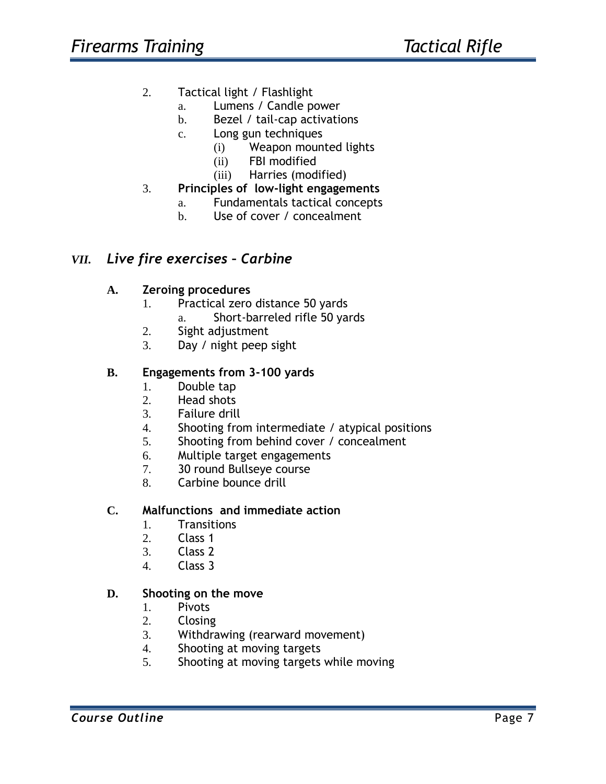- 2. Tactical light / Flashlight
	- a. Lumens / Candle power
	- b. Bezel / tail-cap activations
	- c. Long gun techniques
		- (i) Weapon mounted lights
		- (ii) FBI modified
		- (iii) Harries (modified)
- 3. **Principles of low-light engagements**
	- a. Fundamentals tactical concepts
	- b. Use of cover / concealment

## *VII. Live fire exercises – Carbine*

### **A. Zeroing procedures**

- 1. Practical zero distance 50 yards
	- a. Short-barreled rifle 50 yards
- 2. Sight adjustment
- 3. Day / night peep sight

### **B. Engagements from 3-100 yards**

- 1. Double tap
- 2. Head shots
- 3. Failure drill
- 4. Shooting from intermediate / atypical positions
- 5. Shooting from behind cover / concealment
- 6. Multiple target engagements
- 7. 30 round Bullseye course
- 8. Carbine bounce drill

#### **C. Malfunctions and immediate action**

- 1. Transitions
- 2. Class 1
- 3. Class 2
- 4. Class 3

### **D. Shooting on the move**

- 1. Pivots
- 2. Closing
- 3. Withdrawing (rearward movement)
- 4. Shooting at moving targets
- 5. Shooting at moving targets while moving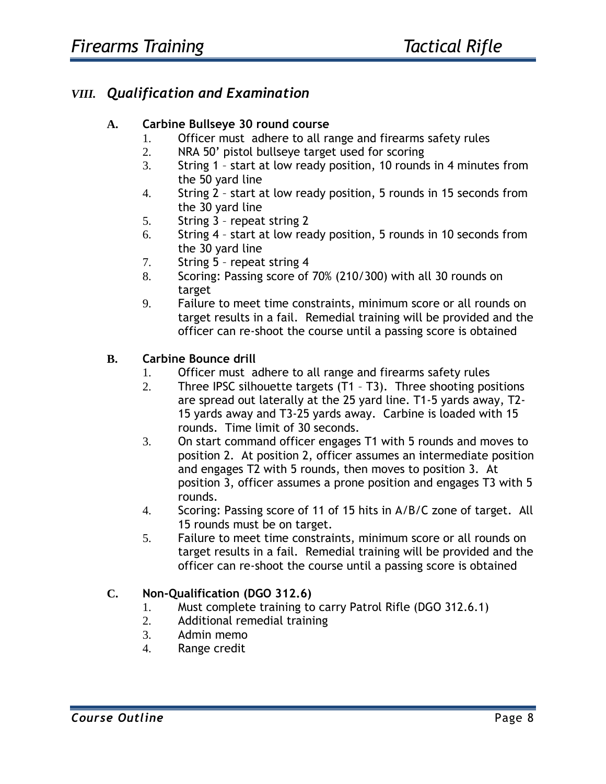# *VIII. Qualification and Examination*

### **A. Carbine Bullseye 30 round course**

- 1. Officer must adhere to all range and firearms safety rules
- 2. NRA 50' pistol bullseye target used for scoring
- 3. String 1 start at low ready position, 10 rounds in 4 minutes from the 50 yard line
- 4. String 2 start at low ready position, 5 rounds in 15 seconds from the 30 yard line
- 5. String 3 repeat string 2
- 6. String 4 start at low ready position, 5 rounds in 10 seconds from the 30 yard line
- 7. String 5 repeat string 4
- 8. Scoring: Passing score of 70% (210/300) with all 30 rounds on target
- 9. Failure to meet time constraints, minimum score or all rounds on target results in a fail. Remedial training will be provided and the officer can re-shoot the course until a passing score is obtained

### **B. Carbine Bounce drill**

- 1. Officer must adhere to all range and firearms safety rules
- 2. Three IPSC silhouette targets (T1 T3). Three shooting positions are spread out laterally at the 25 yard line. T1-5 yards away, T2- 15 yards away and T3-25 yards away. Carbine is loaded with 15 rounds. Time limit of 30 seconds.
- 3. On start command officer engages T1 with 5 rounds and moves to position 2. At position 2, officer assumes an intermediate position and engages T2 with 5 rounds, then moves to position 3. At position 3, officer assumes a prone position and engages T3 with 5 rounds.
- 4. Scoring: Passing score of 11 of 15 hits in A/B/C zone of target. All 15 rounds must be on target.
- 5. Failure to meet time constraints, minimum score or all rounds on target results in a fail. Remedial training will be provided and the officer can re-shoot the course until a passing score is obtained

### **C. Non-Qualification (DGO 312.6)**

- 1. Must complete training to carry Patrol Rifle (DGO 312.6.1)
- 2. Additional remedial training
- 3. Admin memo
- 4. Range credit